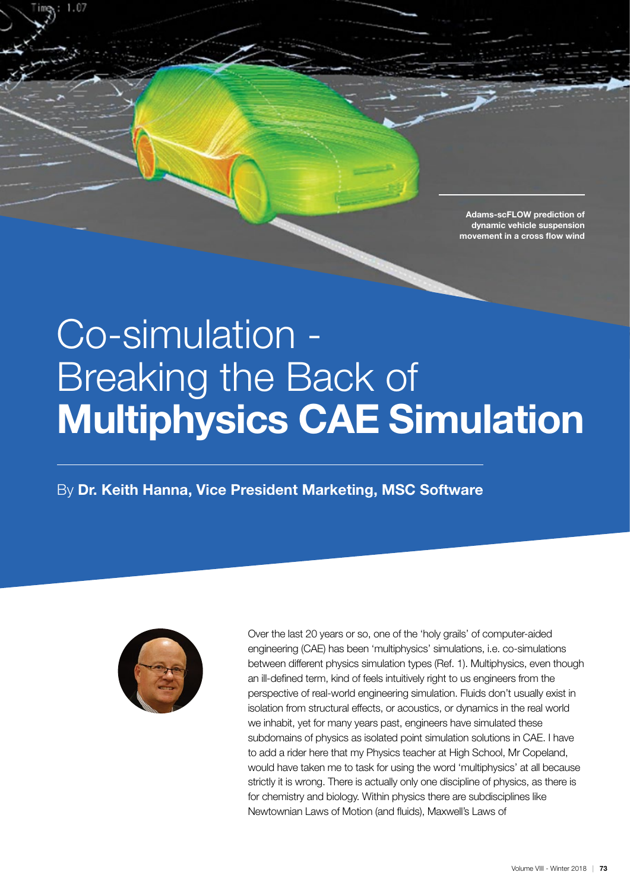Adams-scFLOW prediction of dynamic vehicle suspension movement in a cross flow wind

# Co-simulation - Breaking the Back of Multiphysics CAE Simulation

By Dr. Keith Hanna, Vice President Marketing, MSC Software



1.07

Over the last 20 years or so, one of the 'holy grails' of computer-aided engineering (CAE) has been 'multiphysics' simulations, i.e. co-simulations between different physics simulation types (Ref. 1). Multiphysics, even though an ill-defined term, kind of feels intuitively right to us engineers from the perspective of real-world engineering simulation. Fluids don't usually exist in isolation from structural effects, or acoustics, or dynamics in the real world we inhabit, yet for many years past, engineers have simulated these subdomains of physics as isolated point simulation solutions in CAE. I have to add a rider here that my Physics teacher at High School, Mr Copeland, would have taken me to task for using the word 'multiphysics' at all because strictly it is wrong. There is actually only one discipline of physics, as there is for chemistry and biology. Within physics there are subdisciplines like Newtownian Laws of Motion (and fluids), Maxwell's Laws of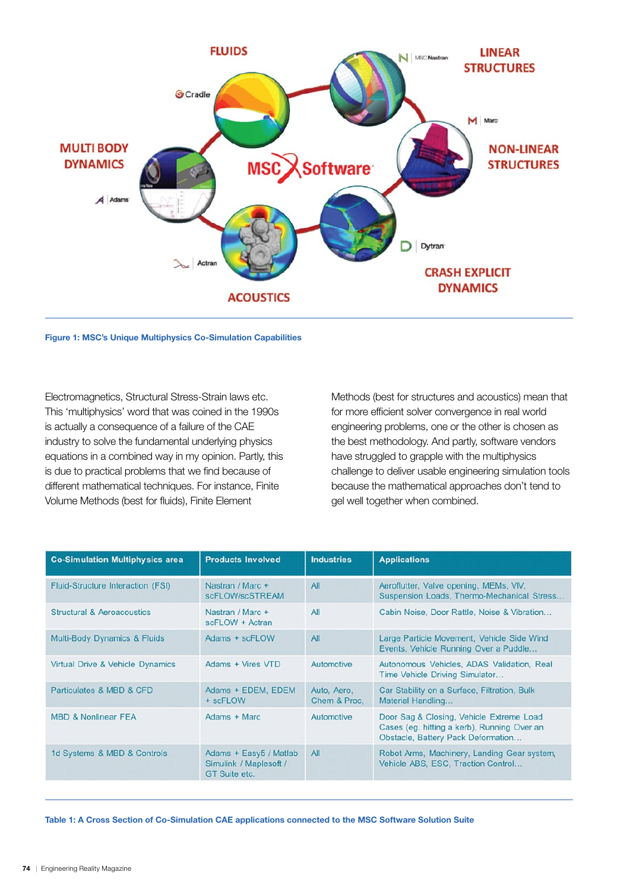

Figure 1: MSC's Unique Multiphysics Co-Simulation Capabilities

Electromagnetics, Structural Stress-Strain laws etc. This 'multiphysics' word that was coined in the 1990s is actually a consequence of a failure of the CAE industry to solve the fundamental underlying physics equations in a combined way in my opinion. Partly, this is due to practical problems that we find because of different mathematical techniques. For instance, Finite Volume Methods (best for fluids), Finite Element

Methods (best for structures and acoustics) mean that for more efficient solver convergence in real world engineering problems, one or the other is chosen as the best methodology. And partly, software vendors have struggled to grapple with the multiphysics challenge to deliver usable engineering simulation tools because the mathematical approaches don't tend to gel well together when combined.

| <b>Co-Simulation Multiphysics area</b> | <b>Products Involved</b>                                          | <b>Industries</b>           | <b>Applications</b>                                                                                                           |
|----------------------------------------|-------------------------------------------------------------------|-----------------------------|-------------------------------------------------------------------------------------------------------------------------------|
| Fluid-Structure Interaction (FSI)      | Nastran / Marc +<br>scFLOW/scSTREAM                               | All                         | Aeroflutter, Valve opening, MEMs, VIV,<br>Suspension Loads, Thermo-Mechanical Stress                                          |
| <b>Structural &amp; Aeroacoustics</b>  | Nastran / Marc +<br>scFLOW + Actran                               | All                         | Cabin Noise, Door Rattle, Noise & Vibration                                                                                   |
| Multi-Body Dynamics & Fluids           | Adams + scFLOW                                                    | All                         | Large Particle Movement, Vehicle Side Wind<br>Events, Vehicle Running Over a Puddle                                           |
| Virtual Drive & Vehicle Dynamics       | Adams + Vires VTD                                                 | Automotive                  | Autonomous Vehicles, ADAS Validation, Real<br>Time Vehicle Driving Simulator                                                  |
| Particulates & MBD & CFD               | Adams + EDEM, EDEM<br>+ scFLOW                                    | Auto, Aero,<br>Chem & Proc. | Car Stability on a Surface, Filtration, Bulk<br>Material Handling                                                             |
| <b>MBD &amp; Nonlinear FEA</b>         | Adams + Marc                                                      | Automotive                  | Door Sag & Closing, Vehicle Extreme Load<br>Cases (eg. hitting a kerb), Running Over an<br>Obstacle, Battery Pack Deformation |
| 1d Systems & MBD & Controls            | Adams + Easy5 / Matlab<br>Simulink / Maplesoft /<br>GT Suite etc. | All                         | Robot Arms, Machinery, Landing Gear system,<br>Vehicle ABS, ESC, Traction Control                                             |

Table 1: A Cross Section of Co-Simulation CAE applications connected to the MSC Software Solution Suite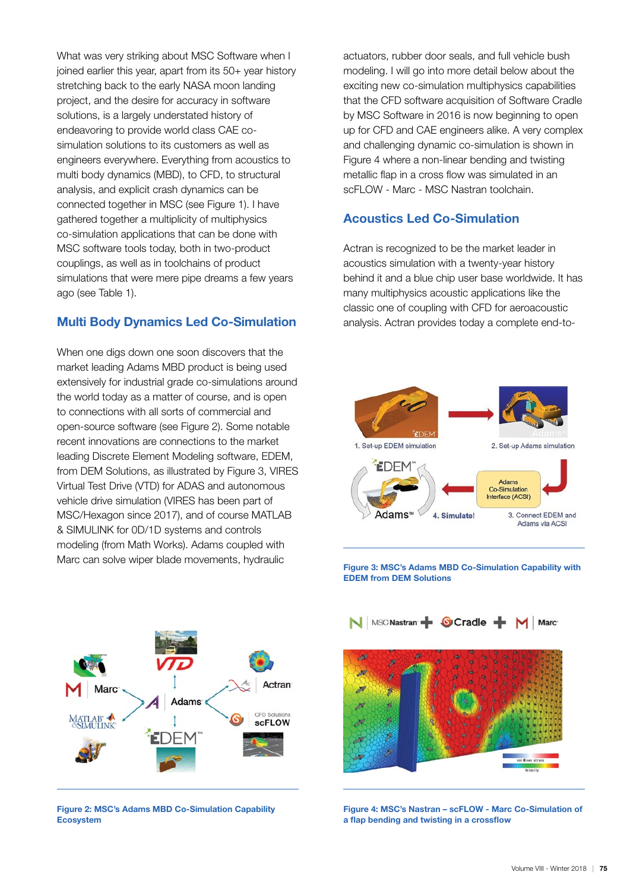What was very striking about MSC Software when I joined earlier this year, apart from its 50+ year history stretching back to the early NASA moon landing project, and the desire for accuracy in software solutions, is a largely understated history of endeavoring to provide world class CAE cosimulation solutions to its customers as well as engineers everywhere. Everything from acoustics to multi body dynamics (MBD), to CFD, to structural analysis, and explicit crash dynamics can be connected together in MSC (see Figure 1). I have gathered together a multiplicity of multiphysics co-simulation applications that can be done with MSC software tools today, both in two-product couplings, as well as in toolchains of product simulations that were mere pipe dreams a few years ago (see Table 1).

## Multi Body Dynamics Led Co-Simulation

When one digs down one soon discovers that the market leading Adams MBD product is being used extensively for industrial grade co-simulations around the world today as a matter of course, and is open to connections with all sorts of commercial and open-source software (see Figure 2). Some notable recent innovations are connections to the market leading Discrete Element Modeling software, EDEM, from DEM Solutions, as illustrated by Figure 3, VIRES Virtual Test Drive (VTD) for ADAS and autonomous vehicle drive simulation (VIRES has been part of MSC/Hexagon since 2017), and of course MATLAB & SIMULINK for 0D/1D systems and controls modeling (from Math Works). Adams coupled with Marc can solve wiper blade movements, hydraulic



Figure 2: MSC's Adams MBD Co-Simulation Capability Ecosystem

actuators, rubber door seals, and full vehicle bush modeling. I will go into more detail below about the exciting new co-simulation multiphysics capabilities that the CFD software acquisition of Software Cradle by MSC Software in 2016 is now beginning to open up for CFD and CAE engineers alike. A very complex and challenging dynamic co-simulation is shown in Figure 4 where a non-linear bending and twisting metallic flap in a cross flow was simulated in an scFLOW - Marc - MSC Nastran toolchain.

### Acoustics Led Co-Simulation

Actran is recognized to be the market leader in acoustics simulation with a twenty-year history behind it and a blue chip user base worldwide. It has many multiphysics acoustic applications like the classic one of coupling with CFD for aeroacoustic analysis. Actran provides today a complete end-to-



Figure 3: MSC's Adams MBD Co-Simulation Capability with EDEM from DEM Solutions



Figure 4: MSC's Nastran – scFLOW - Marc Co-Simulation of a flap bending and twisting in a crossflow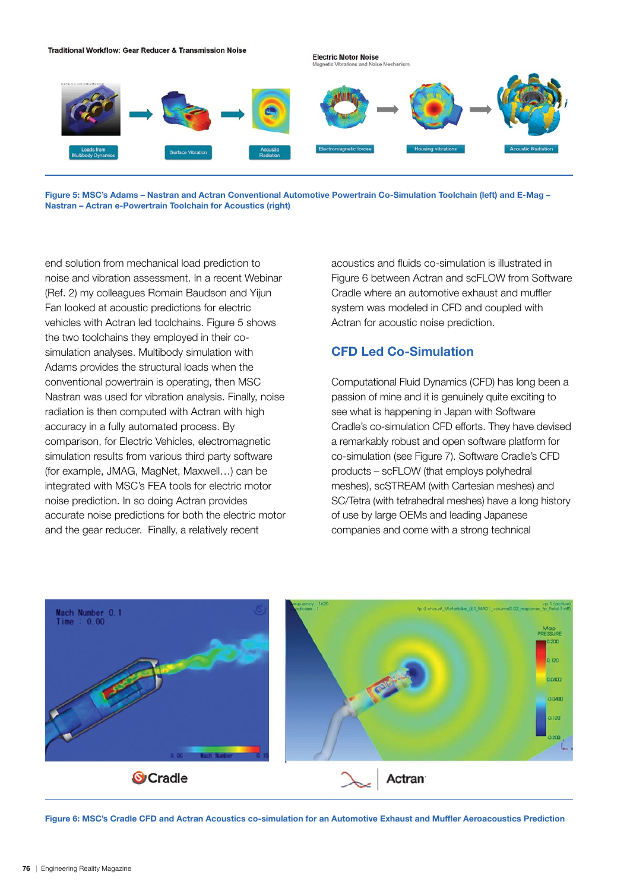

Figure 5: MSC's Adams – Nastran and Actran Conventional Automotive Powertrain Co-Simulation Toolchain (left) and E-Mag – Nastran – Actran e-Powertrain Toolchain for Acoustics (right)

end solution from mechanical load prediction to noise and vibration assessment. In a recent Webinar (Ref. 2) my colleagues Romain Baudson and Yijun Fan looked at acoustic predictions for electric vehicles with Actran led toolchains. Figure 5 shows the two toolchains they employed in their cosimulation analyses. Multibody simulation with Adams provides the structural loads when the conventional powertrain is operating, then MSC Nastran was used for vibration analysis. Finally, noise radiation is then computed with Actran with high accuracy in a fully automated process. By comparison, for Electric Vehicles, electromagnetic simulation results from various third party software (for example, JMAG, MagNet, Maxwell…) can be integrated with MSC's FEA tools for electric motor noise prediction. In so doing Actran provides accurate noise predictions for both the electric motor and the gear reducer. Finally, a relatively recent

acoustics and fluids co-simulation is illustrated in Figure 6 between Actran and scFLOW from Software Cradle where an automotive exhaust and muffler system was modeled in CFD and coupled with Actran for acoustic noise prediction.

## CFD Led Co-Simulation

Computational Fluid Dynamics (CFD) has long been a passion of mine and it is genuinely quite exciting to see what is happening in Japan with Software Cradle's co-simulation CFD efforts. They have devised a remarkably robust and open software platform for co-simulation (see Figure 7). Software Cradle's CFD products – scFLOW (that employs polyhedral meshes), scSTREAM (with Cartesian meshes) and SC/Tetra (with tetrahedral meshes) have a long history of use by large OEMs and leading Japanese companies and come with a strong technical



Figure 6: MSC's Cradle CFD and Actran Acoustics co-simulation for an Automotive Exhaust and Muffler Aeroacoustics Prediction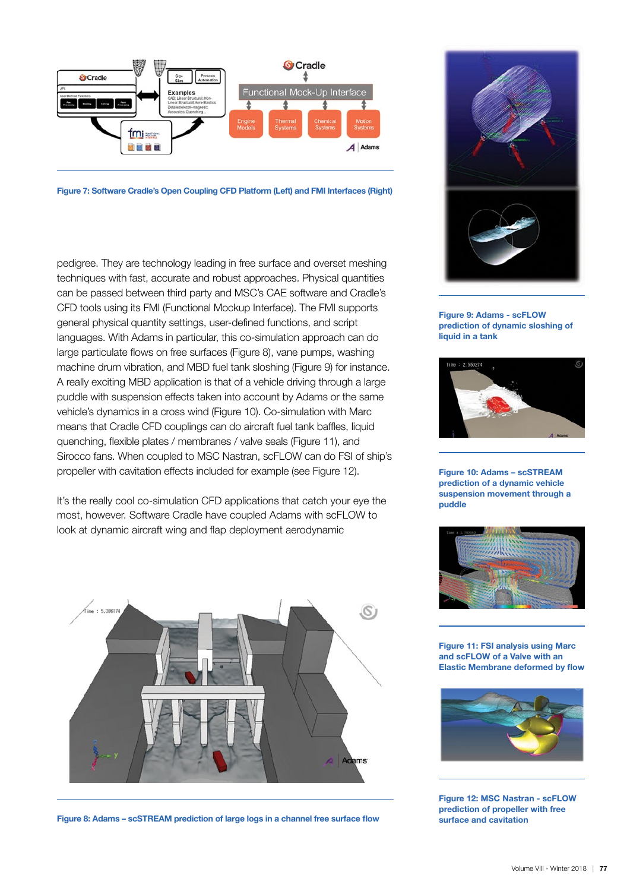

Figure 7: Software Cradle's Open Coupling CFD Platform (Left) and FMI Interfaces (Right)

pedigree. They are technology leading in free surface and overset meshing techniques with fast, accurate and robust approaches. Physical quantities can be passed between third party and MSC's CAE software and Cradle's CFD tools using its FMI (Functional Mockup Interface). The FMI supports general physical quantity settings, user-defined functions, and script languages. With Adams in particular, this co-simulation approach can do large particulate flows on free surfaces (Figure 8), vane pumps, washing machine drum vibration, and MBD fuel tank sloshing (Figure 9) for instance. A really exciting MBD application is that of a vehicle driving through a large puddle with suspension effects taken into account by Adams or the same vehicle's dynamics in a cross wind (Figure 10). Co-simulation with Marc means that Cradle CFD couplings can do aircraft fuel tank baffles, liquid quenching, flexible plates / membranes / valve seals (Figure 11), and Sirocco fans. When coupled to MSC Nastran, scFLOW can do FSI of ship's propeller with cavitation effects included for example (see Figure 12).

It's the really cool co-simulation CFD applications that catch your eye the most, however. Software Cradle have coupled Adams with scFLOW to look at dynamic aircraft wing and flap deployment aerodynamic



Figure 8: Adams – scSTREAM prediction of large logs in a channel free surface flow



Figure 9: Adams - scFLOW prediction of dynamic sloshing of liquid in a tank



Figure 10: Adams – scSTREAM prediction of a dynamic vehicle suspension movement through a puddle



Figure 11: FSI analysis using Marc and scFLOW of a Valve with an Elastic Membrane deformed by flow



Figure 12: MSC Nastran - scFLOW prediction of propeller with free surface and cavitation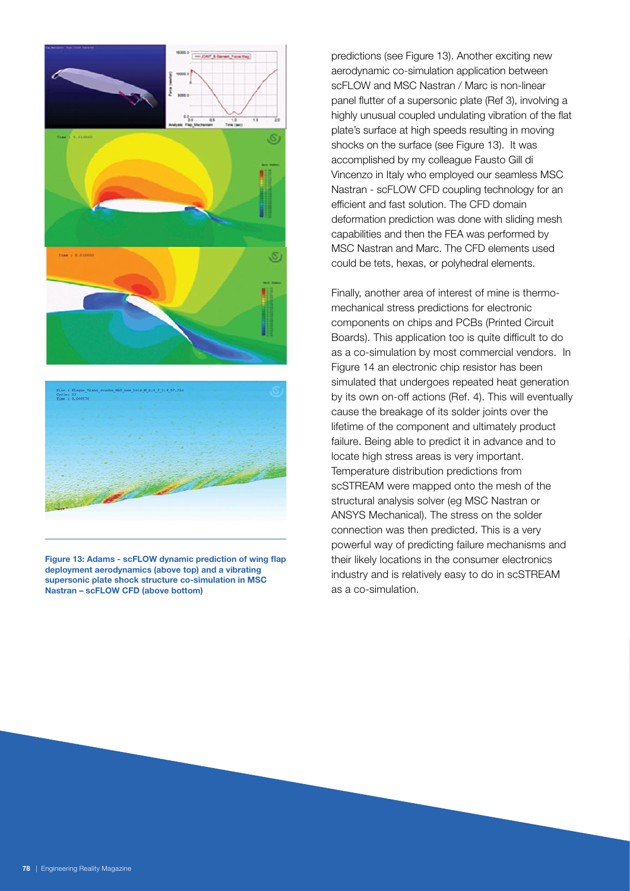

Figure 13: Adams - scFLOW dynamic prediction of wing flap deployment aerodynamics (above top) and a vibrating supersonic plate shock structure co-simulation in MSC Nastran – scFLOW CFD (above bottom)

predictions (see Figure 13). Another exciting new aerodynamic co-simulation application between scFLOW and MSC Nastran / Marc is non-linear panel flutter of a supersonic plate (Ref 3), involving a highly unusual coupled undulating vibration of the flat plate's surface at high speeds resulting in moving shocks on the surface (see Figure 13). It was accomplished by my colleague Fausto Gill di Vincenzo in Italy who employed our seamless MSC Nastran - scFLOW CFD coupling technology for an efficient and fast solution. The CFD domain deformation prediction was done with sliding mesh capabilities and then the FEA was performed by MSC Nastran and Marc. The CFD elements used could be tets, hexas, or polyhedral elements.

Finally, another area of interest of mine is thermomechanical stress predictions for electronic components on chips and PCBs (Printed Circuit Boards). This application too is quite difficult to do as a co-simulation by most commercial vendors. In Figure 14 an electronic chip resistor has been simulated that undergoes repeated heat generation by its own on-off actions (Ref. 4). This will eventually cause the breakage of its solder joints over the lifetime of the component and ultimately product failure. Being able to predict it in advance and to locate high stress areas is very important. Temperature distribution predictions from scSTREAM were mapped onto the mesh of the structural analysis solver (eg MSC Nastran or ANSYS Mechanical). The stress on the solder connection was then predicted. This is a very powerful way of predicting failure mechanisms and their likely locations in the consumer electronics industry and is relatively easy to do in scSTREAM as a co-simulation.